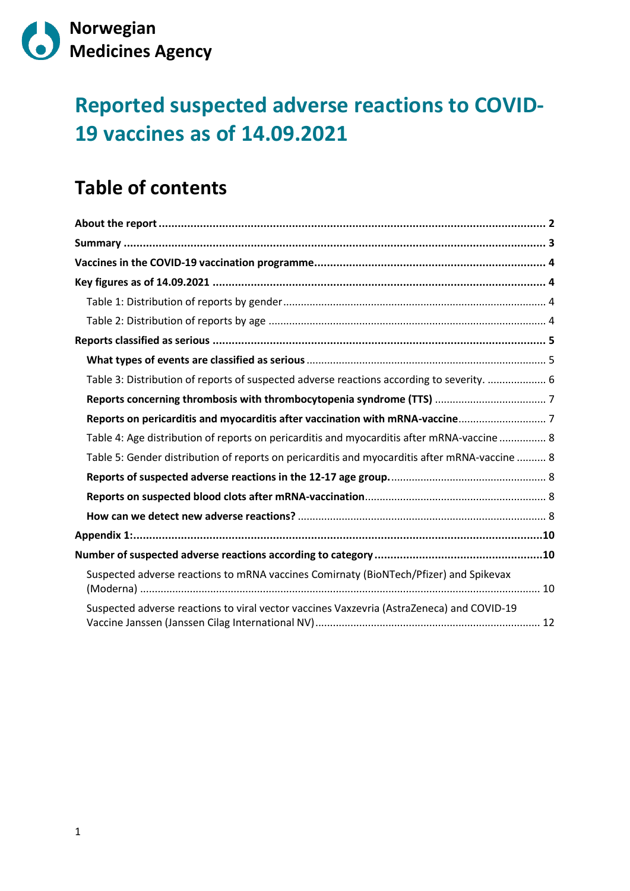

# **Reported suspected adverse reactions to COVID-19 vaccines as of 14.09.2021**

## **Table of contents**

| Table 3: Distribution of reports of suspected adverse reactions according to severity.  6     |
|-----------------------------------------------------------------------------------------------|
|                                                                                               |
|                                                                                               |
| Table 4: Age distribution of reports on pericarditis and myocarditis after mRNA-vaccine  8    |
| Table 5: Gender distribution of reports on pericarditis and myocarditis after mRNA-vaccine  8 |
|                                                                                               |
|                                                                                               |
|                                                                                               |
|                                                                                               |
|                                                                                               |
| Suspected adverse reactions to mRNA vaccines Comirnaty (BioNTech/Pfizer) and Spikevax         |
| Suspected adverse reactions to viral vector vaccines Vaxzevria (AstraZeneca) and COVID-19     |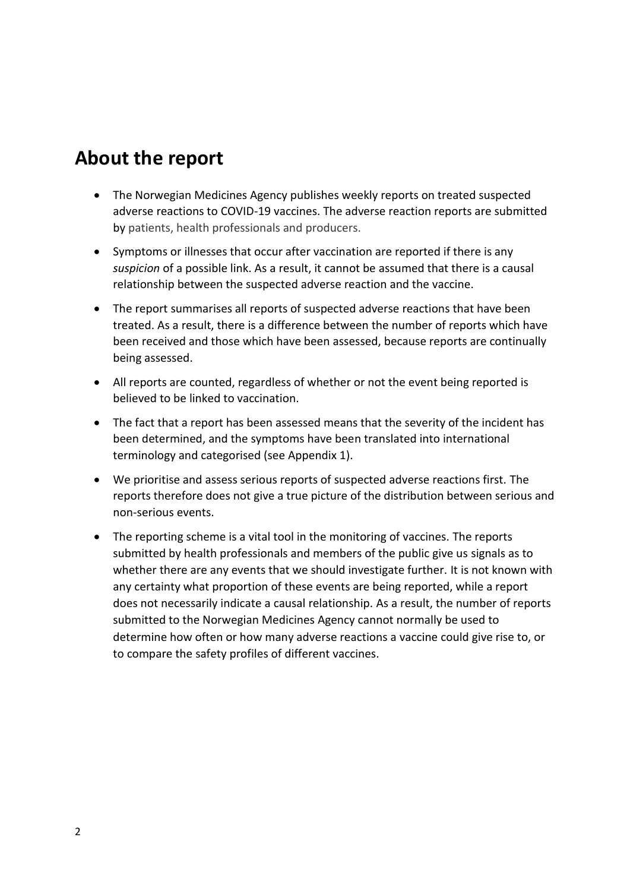## <span id="page-1-0"></span>**About the report**

- The Norwegian Medicines Agency publishes weekly reports on treated suspected adverse reactions to COVID-19 vaccines. The adverse reaction reports are submitted by patients, health professionals and producers.
- Symptoms or illnesses that occur after vaccination are reported if there is any *suspicion* of a possible link. As a result, it cannot be assumed that there is a causal relationship between the suspected adverse reaction and the vaccine.
- The report summarises all reports of suspected adverse reactions that have been treated. As a result, there is a difference between the number of reports which have been received and those which have been assessed, because reports are continually being assessed.
- All reports are counted, regardless of whether or not the event being reported is believed to be linked to vaccination.
- The fact that a report has been assessed means that the severity of the incident has been determined, and the symptoms have been translated into international terminology and categorised (see Appendix 1).
- We prioritise and assess serious reports of suspected adverse reactions first. The reports therefore does not give a true picture of the distribution between serious and non-serious events.
- The reporting scheme is a vital tool in the monitoring of vaccines. The reports submitted by health professionals and members of the public give us signals as to whether there are any events that we should investigate further. It is not known with any certainty what proportion of these events are being reported, while a report does not necessarily indicate a causal relationship. As a result, the number of reports submitted to the Norwegian Medicines Agency cannot normally be used to determine how often or how many adverse reactions a vaccine could give rise to, or to compare the safety profiles of different vaccines.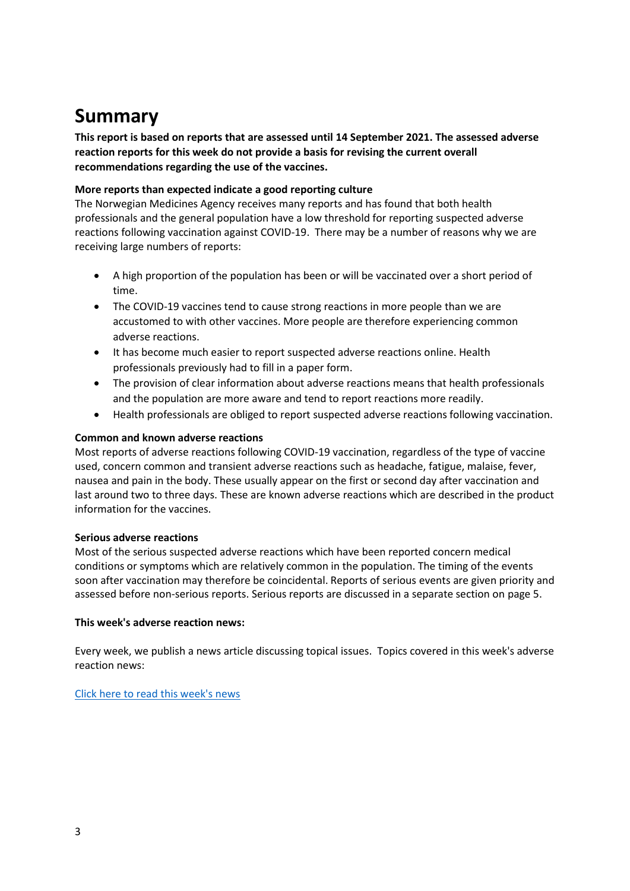## <span id="page-2-0"></span>**Summary**

**This report is based on reports that are assessed until 14 September 2021. The assessed adverse reaction reports for this week do not provide a basis for revising the current overall recommendations regarding the use of the vaccines.**

#### **More reports than expected indicate a good reporting culture**

The Norwegian Medicines Agency receives many reports and has found that both health professionals and the general population have a low threshold for reporting suspected adverse reactions following vaccination against COVID-19. There may be a number of reasons why we are receiving large numbers of reports:

- A high proportion of the population has been or will be vaccinated over a short period of time.
- The COVID-19 vaccines tend to cause strong reactions in more people than we are accustomed to with other vaccines. More people are therefore experiencing common adverse reactions.
- It has become much easier to report suspected adverse reactions online. Health professionals previously had to fill in a paper form.
- The provision of clear information about adverse reactions means that health professionals and the population are more aware and tend to report reactions more readily.
- Health professionals are obliged to report suspected adverse reactions following vaccination.

#### **Common and known adverse reactions**

Most reports of adverse reactions following COVID-19 vaccination, regardless of the type of vaccine used, concern common and transient adverse reactions such as headache, fatigue, malaise, fever, nausea and pain in the body. These usually appear on the first or second day after vaccination and last around two to three days. These are known adverse reactions which are described in the product information for the vaccines.

#### **Serious adverse reactions**

Most of the serious suspected adverse reactions which have been reported concern medical conditions or symptoms which are relatively common in the population. The timing of the events soon after vaccination may therefore be coincidental. Reports of serious events are given priority and assessed before non-serious reports. Serious reports are discussed in a separate section on page 5.

#### **This week's adverse reaction news:**

Every week, we publish a news article discussing topical issues. Topics covered in this week's adverse reaction news:

#### [Click here to read this week's news](https://legemiddelverket.no/nyheter/reports-of-possible-adverse-reactions-to-covid-19-vaccines-as-of-14-september-2021)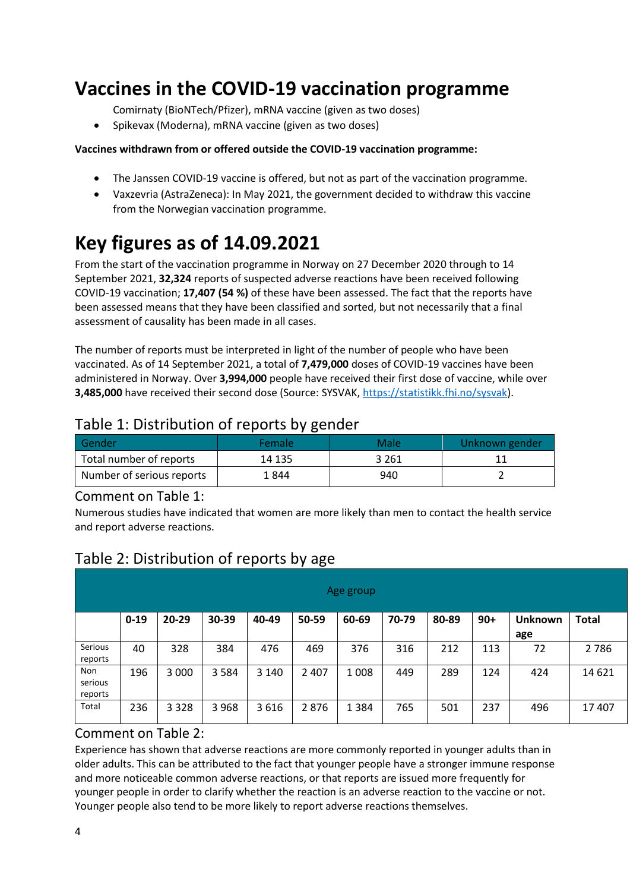## <span id="page-3-0"></span>**Vaccines in the COVID-19 vaccination programme**

Comirnaty (BioNTech/Pfizer), mRNA vaccine (given as two doses)

• Spikevax (Moderna), mRNA vaccine (given as two doses)

#### **Vaccines withdrawn from or offered outside the COVID-19 vaccination programme:**

- [The Janssen COVID-19 vaccine is offered, but not as part of the vaccination programme.](https://www.helsenorge.no/koronavirus/janssen-vaksinen)
- Vaxzevria (AstraZeneca): In May 2021, the government decided to withdraw this vaccine from the Norwegian vaccination programme.

# <span id="page-3-1"></span>**Key figures as of 14.09.2021**

From the start of the vaccination programme in Norway on 27 December 2020 through to 14 September 2021, **32,324** reports of suspected adverse reactions have been received following COVID-19 vaccination; **17,407 (54 %)** of these have been assessed. The fact that the reports have been assessed means that they have been classified and sorted, but not necessarily that a final assessment of causality has been made in all cases.

The number of reports must be interpreted in light of the number of people who have been vaccinated. As of 14 September 2021, a total of **7,479,000** doses of COVID-19 vaccines have been administered in Norway. Over **3,994,000** people have received their first dose of vaccine, while over **3,485,000** have received their second dose (Source: SYSVAK, [https://statistikk.fhi.no/sysvak\)](https://statistikk.fhi.no/sysvak).

### <span id="page-3-2"></span>Table 1: Distribution of reports by gender

| l Gender                  | Female | Male  | Unknown gender |
|---------------------------|--------|-------|----------------|
| Total number of reports   | 14 135 | 3 261 |                |
| Number of serious reports | 1 844  | 940   |                |

#### Comment on Table 1:

Numerous studies have indicated that women are more likely than men to contact the health service and report adverse reactions.

|                           |          |           |         |         |         | Age group |       |       |       |                |              |
|---------------------------|----------|-----------|---------|---------|---------|-----------|-------|-------|-------|----------------|--------------|
|                           | $0 - 19$ | $20 - 29$ | 30-39   | 40-49   | 50-59   | 60-69     | 70-79 | 80-89 | $90+$ | <b>Unknown</b> | <b>Total</b> |
|                           |          |           |         |         |         |           |       |       |       | age            |              |
| Serious<br>reports        | 40       | 328       | 384     | 476     | 469     | 376       | 316   | 212   | 113   | 72             | 2 7 8 6      |
| Non<br>serious<br>reports | 196      | 3 0 0 0   | 3 5 8 4 | 3 1 4 0 | 2 4 0 7 | 1 0 0 8   | 449   | 289   | 124   | 424            | 14 6 21      |
| Total                     | 236      | 3 3 2 8   | 3 9 6 8 | 3616    | 2876    | 1 3 8 4   | 765   | 501   | 237   | 496            | 17 407       |

### <span id="page-3-3"></span>Table 2: Distribution of reports by age

#### Comment on Table 2:

Experience has shown that adverse reactions are more commonly reported in younger adults than in older adults. This can be attributed to the fact that younger people have a stronger immune response and more noticeable common adverse reactions, or that reports are issued more frequently for younger people in order to clarify whether the reaction is an adverse reaction to the vaccine or not. Younger people also tend to be more likely to report adverse reactions themselves.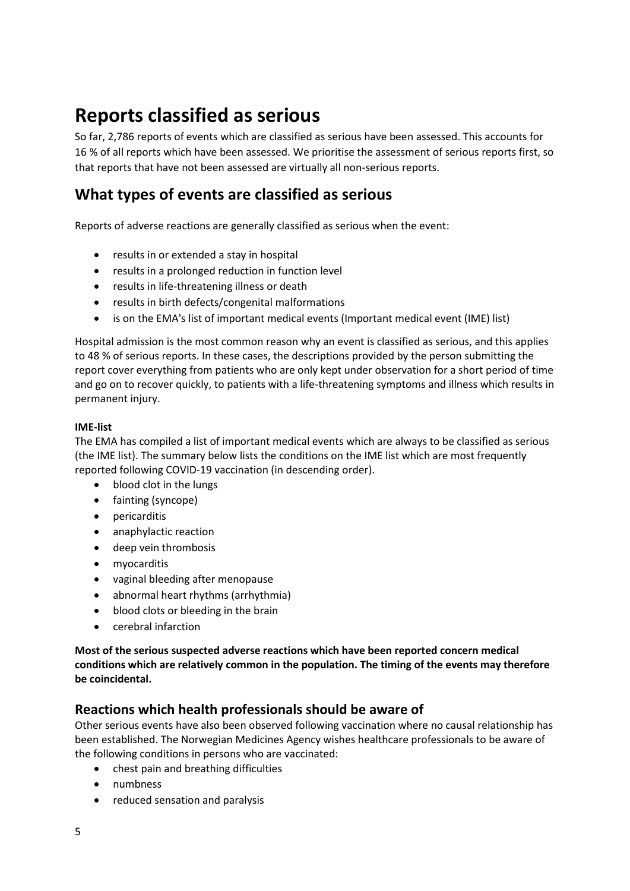## <span id="page-4-0"></span>**Reports classified as serious**

So far, 2,786 reports of events which are classified as serious have been assessed. This accounts for 16 % of all reports which have been assessed. We prioritise the assessment of serious reports first, so that reports that have not been assessed are virtually all non-serious reports.

### <span id="page-4-1"></span>**What types of events are classified as serious**

Reports of adverse reactions are generally classified as serious when the event:

- results in or extended a stay in hospital
- results in a prolonged reduction in function level
- results in life-threatening illness or death
- results in birth defects/congenital malformations
- is on the EMA's list of important medical events (Important medical event (IME) list)

Hospital admission is the most common reason why an event is classified as serious, and this applies to 48 % of serious reports. In these cases, the descriptions provided by the person submitting the report cover everything from patients who are only kept under observation for a short period of time and go on to recover quickly, to patients with a life-threatening symptoms and illness which results in permanent injury.

#### **IME-list**

The EMA has compiled a list of important medical events which are always to be classified as serious (the IME list). The summary below lists the conditions on the IME list which are most frequently reported following COVID-19 vaccination (in descending order).

- blood clot in the lungs
- fainting (syncope)
- pericarditis
- anaphylactic reaction
- deep vein thrombosis
- myocarditis
- vaginal bleeding after menopause
- abnormal heart rhythms (arrhythmia)
- blood clots or bleeding in the brain
- cerebral infarction

**Most of the serious suspected adverse reactions which have been reported concern medical conditions which are relatively common in the population. The timing of the events may therefore be coincidental.**

#### **Reactions which health professionals should be aware of**

Other serious events have also been observed following vaccination where no causal relationship has been established. The Norwegian Medicines Agency wishes healthcare professionals to be aware of the following conditions in persons who are vaccinated:

- chest pain and breathing difficulties
- numbness
- reduced sensation and paralysis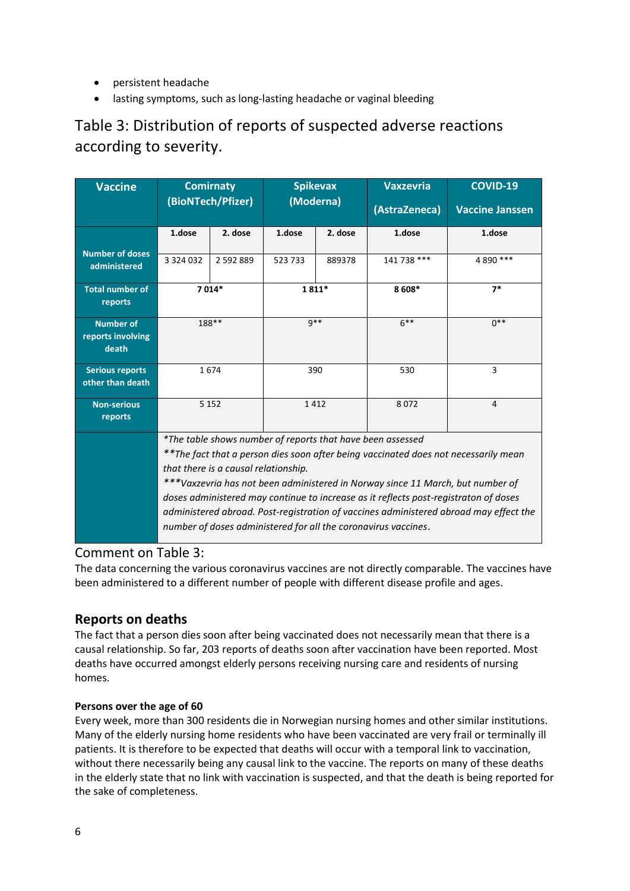- persistent headache
- lasting symptoms, such as long-lasting headache or vaginal bleeding

### <span id="page-5-0"></span>Table 3: Distribution of reports of suspected adverse reactions according to severity.

| <b>Vaccine</b>                                 |                                                                                                                              | <b>Comirnaty</b>                                                                      |        | <b>Spikevax</b> | <b>Vaxzevria</b> | <b>COVID-19</b>        |  |
|------------------------------------------------|------------------------------------------------------------------------------------------------------------------------------|---------------------------------------------------------------------------------------|--------|-----------------|------------------|------------------------|--|
|                                                |                                                                                                                              | (BioNTech/Pfizer)                                                                     |        | (Moderna)       | (AstraZeneca)    | <b>Vaccine Janssen</b> |  |
|                                                | 1.dose<br>2. dose                                                                                                            |                                                                                       | 1.dose | 2. dose         | 1.dose           | 1.dose                 |  |
| <b>Number of doses</b><br>administered         | 3 3 2 4 0 3 2                                                                                                                | 2 592 889                                                                             | 523733 | 889378          | 141 738 ***      | 4 890 ***              |  |
| <b>Total number of</b><br>reports              | 7014*                                                                                                                        |                                                                                       |        | 1811*           | 8 608*           | $7*$                   |  |
| <b>Number of</b><br>reports involving<br>death | 188**                                                                                                                        |                                                                                       | $9**$  |                 | $6***$           | $0***$                 |  |
| <b>Serious reports</b><br>other than death     | 1674                                                                                                                         |                                                                                       | 390    |                 | 530              | 3                      |  |
| <b>Non-serious</b><br>reports                  | 5 1 5 2                                                                                                                      |                                                                                       | 1412   |                 | 8072             | $\overline{4}$         |  |
|                                                | *The table shows number of reports that have been assessed                                                                   |                                                                                       |        |                 |                  |                        |  |
|                                                | ** The fact that a person dies soon after being vaccinated does not necessarily mean<br>that there is a causal relationship. |                                                                                       |        |                 |                  |                        |  |
|                                                | ***Vaxzevria has not been administered in Norway since 11 March, but number of                                               |                                                                                       |        |                 |                  |                        |  |
|                                                | doses administered may continue to increase as it reflects post-registraton of doses                                         |                                                                                       |        |                 |                  |                        |  |
|                                                |                                                                                                                              | administered abroad. Post-registration of vaccines administered abroad may effect the |        |                 |                  |                        |  |
|                                                | number of doses administered for all the coronavirus vaccines.                                                               |                                                                                       |        |                 |                  |                        |  |

#### Comment on Table 3:

The data concerning the various coronavirus vaccines are not directly comparable. The vaccines have been administered to a different number of people with different disease profile and ages.

#### **Reports on deaths**

The fact that a person dies soon after being vaccinated does not necessarily mean that there is a causal relationship. So far, 203 reports of deaths soon after vaccination have been reported. Most deaths have occurred amongst elderly persons receiving nursing care and residents of nursing homes.

#### **Persons over the age of 60**

Every week, more than 300 residents die in Norwegian nursing homes and other similar institutions. Many of the elderly nursing home residents who have been vaccinated are very frail or terminally ill patients. It is therefore to be expected that deaths will occur with a temporal link to vaccination, without there necessarily being any causal link to the vaccine. The reports on many of these deaths in the elderly state that no link with vaccination is suspected, and that the death is being reported for the sake of completeness.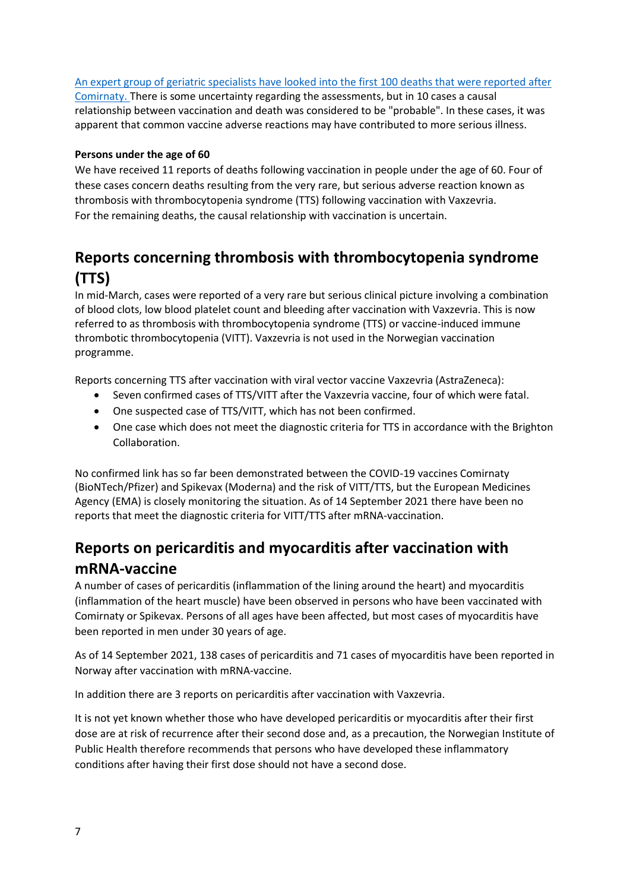#### [An expert group of geriatric specialists have looked into the first 100 deaths that were reported after](https://legemiddelverket.no/nyheter/expert-group-has-assessed-deaths-amongst-the-frail-elderly-following-covid-19-vaccination)

[Comirnaty.](https://legemiddelverket.no/nyheter/expert-group-has-assessed-deaths-amongst-the-frail-elderly-following-covid-19-vaccination) There is some uncertainty regarding the assessments, but in 10 cases a causal relationship between vaccination and death was considered to be "probable". In these cases, it was apparent that common vaccine adverse reactions may have contributed to more serious illness.

#### **Persons under the age of 60**

We have received 11 reports of deaths following vaccination in people under the age of 60. Four of these cases concern deaths resulting from the very rare, but serious adverse reaction known as thrombosis with thrombocytopenia syndrome (TTS) following vaccination with Vaxzevria. For the remaining deaths, the causal relationship with vaccination is uncertain.

### <span id="page-6-0"></span>**Reports concerning thrombosis with thrombocytopenia syndrome (TTS)**

In mid-March, cases were reported of a very rare but serious clinical picture involving a combination of blood clots, low blood platelet count and bleeding after vaccination with Vaxzevria. This is now referred to as thrombosis with thrombocytopenia syndrome (TTS) or vaccine-induced immune thrombotic thrombocytopenia (VITT). Vaxzevria is not used in the Norwegian vaccination programme.

Reports concerning TTS after vaccination with viral vector vaccine Vaxzevria (AstraZeneca):

- Seven confirmed cases of TTS/VITT after the Vaxzevria vaccine, four of which were fatal.
- One suspected case of TTS/VITT, which has not been confirmed.
- One case which does not meet the [diagnostic criteria for TTS in accordance with](https://brightoncollaboration.us/thrombosis-with-thrombocytopenia-syndrome-interim-case-definition/) the Brighton [Collaboration.](https://brightoncollaboration.us/thrombosis-with-thrombocytopenia-syndrome-interim-case-definition/)

No confirmed link has so far been demonstrated between the COVID-19 vaccines Comirnaty (BioNTech/Pfizer) and Spikevax (Moderna) and the risk of VITT/TTS, but the European Medicines Agency (EMA) is closely monitoring the situation. As of 14 September 2021 there have been no reports that meet the diagnostic criteria for VITT/TTS after mRNA-vaccination.

### <span id="page-6-1"></span>**Reports on pericarditis and myocarditis after vaccination with mRNA-vaccine**

A number of cases of pericarditis (inflammation of the lining around the heart) and myocarditis (inflammation of the heart muscle) have been observed in persons who have been vaccinated with Comirnaty or Spikevax. Persons of all ages have been affected, but most cases of myocarditis have been reported in men under 30 years of age.

As of 14 September 2021, 138 cases of pericarditis and 71 cases of myocarditis have been reported in Norway after vaccination with mRNA-vaccine.

In addition there are 3 reports on pericarditis after vaccination with Vaxzevria.

It is not yet known whether those who have developed pericarditis or myocarditis after their first dose are at risk of recurrence after their second dose and, as a precaution, the Norwegian Institute of Public Health therefore recommends that persons who have developed these inflammatory conditions after having their first dose should not have a second dose.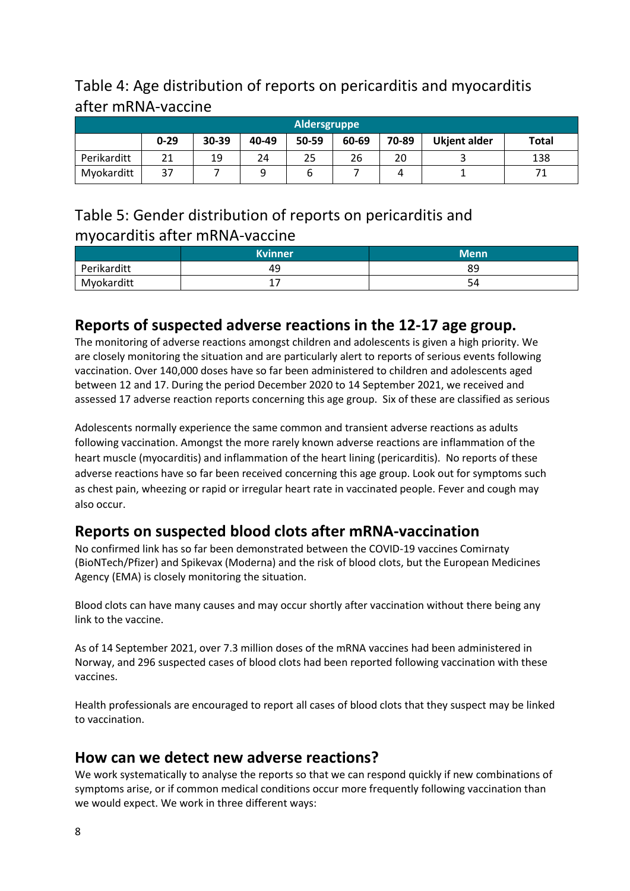### <span id="page-7-0"></span>Table 4: Age distribution of reports on pericarditis and myocarditis after mRNA-vaccine

| Aldersgruppe |          |       |       |       |       |       |                     |              |
|--------------|----------|-------|-------|-------|-------|-------|---------------------|--------------|
|              | $0 - 29$ | 30-39 | 40-49 | 50-59 | 60-69 | 70-89 | <b>Ukjent alder</b> | <b>Total</b> |
| Perikarditt  | 21       | 19    | 24    | 25    | 26    | 20    |                     | 138          |
| Myokarditt   | 37       |       |       |       |       |       |                     |              |

### <span id="page-7-1"></span>Table 5: Gender distribution of reports on pericarditis and myocarditis after mRNA-vaccine

|             | <b>Kvinner</b> | <b>Menn</b> |
|-------------|----------------|-------------|
| Perikarditt | 49             | 89          |
| Myokarditt  | <b>.</b>       | 54          |

### <span id="page-7-2"></span>**Reports of suspected adverse reactions in the 12-17 age group.**

The monitoring of adverse reactions amongst children and adolescents is given a high priority. We are closely monitoring the situation and are particularly alert to reports of serious events following vaccination. Over 140,000 doses have so far been administered to children and adolescents aged between 12 and 17. During the period December 2020 to 14 September 2021, we received and assessed 17 adverse reaction reports concerning this age group. Six of these are classified as serious

Adolescents normally experience the same common and transient adverse reactions as adults following vaccination. Amongst the more rarely known adverse reactions are inflammation of the heart muscle (myocarditis) and inflammation of the heart lining (pericarditis). No reports of these adverse reactions have so far been received concerning this age group. Look out for symptoms such as chest pain, wheezing or rapid or irregular heart rate in vaccinated people. Fever and cough may also occur.

### <span id="page-7-3"></span>**Reports on suspected blood clots after mRNA-vaccination**

No confirmed link has so far been demonstrated between the COVID-19 vaccines Comirnaty (BioNTech/Pfizer) and Spikevax (Moderna) and the risk of blood clots, but the European Medicines Agency (EMA) is closely monitoring the situation.

Blood clots can have many causes and may occur shortly after vaccination without there being any link to the vaccine.

As of 14 September 2021, over 7.3 million doses of the mRNA vaccines had been administered in Norway, and 296 suspected cases of blood clots had been reported following vaccination with these vaccines.

Health professionals are encouraged to report all cases of blood clots that they suspect may be linked to vaccination.

### <span id="page-7-4"></span>**How can we detect new adverse reactions?**

We work systematically to analyse the reports so that we can respond quickly if new combinations of symptoms arise, or if common medical conditions occur more frequently following vaccination than we would expect. We work in three different ways: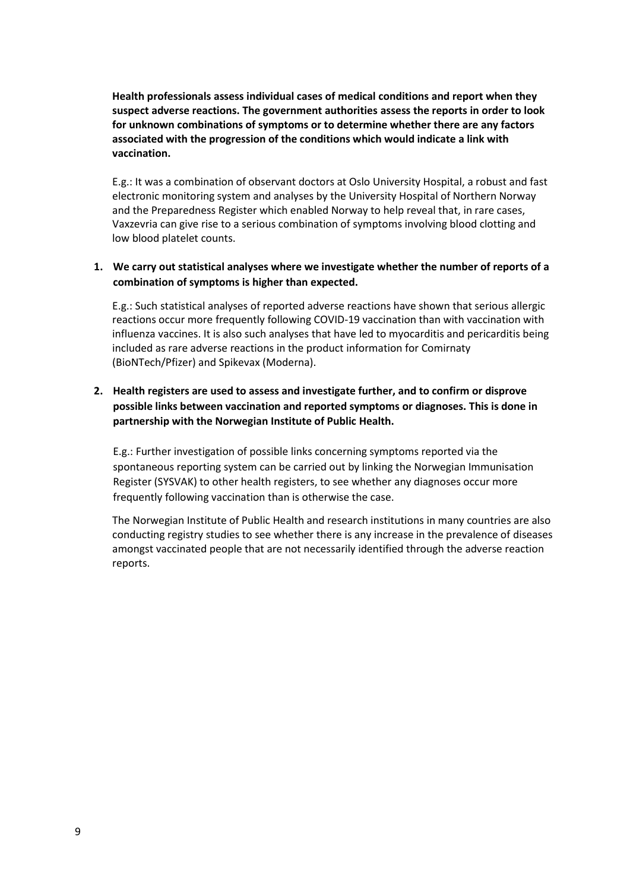**Health professionals assess individual cases of medical conditions and report when they suspect adverse reactions. The government authorities assess the reports in order to look for unknown combinations of symptoms or to determine whether there are any factors associated with the progression of the conditions which would indicate a link with vaccination.** 

E.g.: It was a combination of observant doctors at Oslo University Hospital, a robust and fast electronic monitoring system and analyses by the University Hospital of Northern Norway and the Preparedness Register which enabled Norway to help reveal that, in rare cases, Vaxzevria can give rise to a serious combination of symptoms involving blood clotting and low blood platelet counts.

#### **1. We carry out statistical analyses where we investigate whether the number of reports of a combination of symptoms is higher than expected.**

E.g.: Such statistical analyses of reported adverse reactions have shown that serious allergic reactions occur more frequently following COVID-19 vaccination than with vaccination with influenza vaccines. It is also such analyses that have led to myocarditis and pericarditis being included as rare adverse reactions in the product information for Comirnaty (BioNTech/Pfizer) and Spikevax (Moderna).

#### **2. Health registers are used to assess and investigate further, and to confirm or disprove possible links between vaccination and reported symptoms or diagnoses. This is done in partnership with the Norwegian Institute of Public Health.**

E.g.: Further investigation of possible links concerning symptoms reported via the spontaneous reporting system can be carried out by linking the Norwegian Immunisation Register (SYSVAK) to other health registers, to see whether any diagnoses occur more frequently following vaccination than is otherwise the case.

The Norwegian Institute of Public Health and research institutions in many countries are also conducting registry studies to see whether there is any increase in the prevalence of diseases amongst vaccinated people that are not necessarily identified through the adverse reaction reports.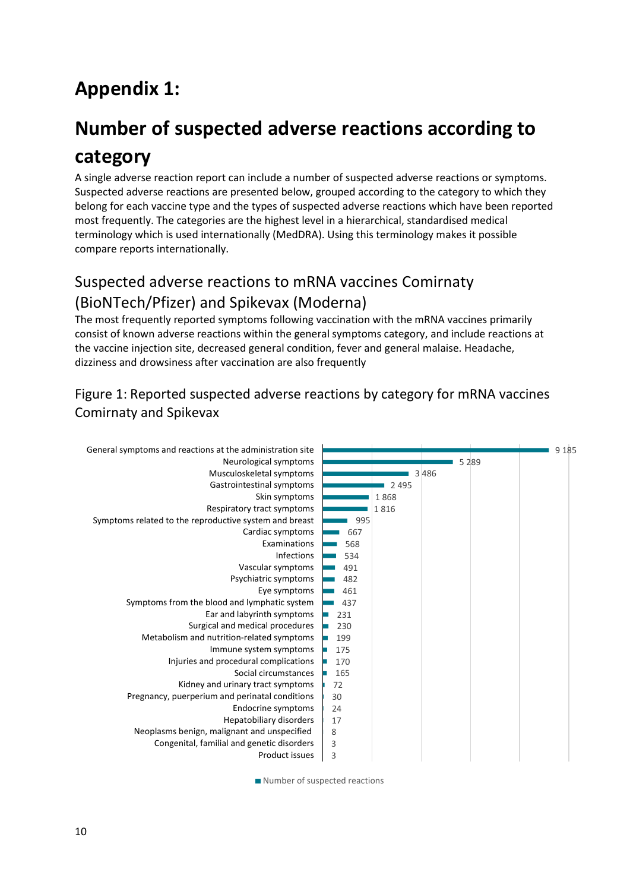# <span id="page-9-0"></span>**Appendix 1:**

# <span id="page-9-1"></span>**Number of suspected adverse reactions according to category**

A single adverse reaction report can include a number of suspected adverse reactions or symptoms. Suspected adverse reactions are presented below, grouped according to the category to which they belong for each vaccine type and the types of suspected adverse reactions which have been reported most frequently. The categories are the highest level in a hierarchical, standardised medical terminology which is used internationally (MedDRA). Using this terminology makes it possible compare reports internationally.

### <span id="page-9-2"></span>Suspected adverse reactions to mRNA vaccines Comirnaty (BioNTech/Pfizer) and Spikevax (Moderna)

The most frequently reported symptoms following vaccination with the mRNA vaccines primarily consist of known adverse reactions within the general symptoms category, and include reactions at the vaccine injection site, decreased general condition, fever and general malaise. Headache, dizziness and drowsiness after vaccination are also frequently

### Figure 1: Reported suspected adverse reactions by category for mRNA vaccines Comirnaty and Spikevax



Number of suspected reactions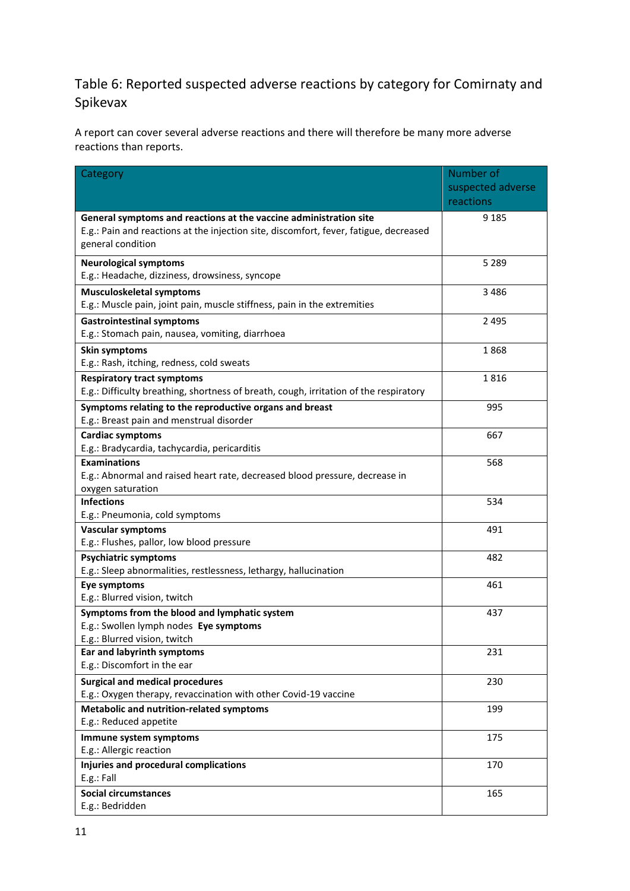### Table 6: Reported suspected adverse reactions by category for Comirnaty and Spikevax

A report can cover several adverse reactions and there will therefore be many more adverse reactions than reports.

| Category                                                                                            | Number of         |
|-----------------------------------------------------------------------------------------------------|-------------------|
|                                                                                                     | suspected adverse |
|                                                                                                     | reactions         |
| General symptoms and reactions at the vaccine administration site                                   | 9 1 8 5           |
| E.g.: Pain and reactions at the injection site, discomfort, fever, fatigue, decreased               |                   |
| general condition                                                                                   |                   |
| <b>Neurological symptoms</b>                                                                        | 5 2 8 9           |
| E.g.: Headache, dizziness, drowsiness, syncope                                                      |                   |
| <b>Musculoskeletal symptoms</b>                                                                     | 3 4 8 6           |
| E.g.: Muscle pain, joint pain, muscle stiffness, pain in the extremities                            |                   |
| <b>Gastrointestinal symptoms</b>                                                                    | 2495              |
| E.g.: Stomach pain, nausea, vomiting, diarrhoea                                                     |                   |
| <b>Skin symptoms</b>                                                                                | 1868              |
| E.g.: Rash, itching, redness, cold sweats                                                           |                   |
| <b>Respiratory tract symptoms</b>                                                                   | 1816              |
| E.g.: Difficulty breathing, shortness of breath, cough, irritation of the respiratory               |                   |
| Symptoms relating to the reproductive organs and breast<br>E.g.: Breast pain and menstrual disorder | 995               |
| <b>Cardiac symptoms</b>                                                                             | 667               |
| E.g.: Bradycardia, tachycardia, pericarditis                                                        |                   |
| <b>Examinations</b>                                                                                 | 568               |
| E.g.: Abnormal and raised heart rate, decreased blood pressure, decrease in                         |                   |
| oxygen saturation                                                                                   |                   |
| <b>Infections</b>                                                                                   | 534               |
| E.g.: Pneumonia, cold symptoms                                                                      |                   |
| <b>Vascular symptoms</b>                                                                            | 491               |
| E.g.: Flushes, pallor, low blood pressure                                                           |                   |
| <b>Psychiatric symptoms</b>                                                                         | 482               |
| E.g.: Sleep abnormalities, restlessness, lethargy, hallucination                                    |                   |
| Eye symptoms<br>E.g.: Blurred vision, twitch                                                        | 461               |
| Symptoms from the blood and lymphatic system                                                        | 437               |
| E.g.: Swollen lymph nodes Eye symptoms                                                              |                   |
| E.g.: Blurred vision, twitch                                                                        |                   |
| Ear and labyrinth symptoms                                                                          | 231               |
| E.g.: Discomfort in the ear                                                                         |                   |
| <b>Surgical and medical procedures</b>                                                              | 230               |
| E.g.: Oxygen therapy, revaccination with other Covid-19 vaccine                                     |                   |
| <b>Metabolic and nutrition-related symptoms</b>                                                     | 199               |
| E.g.: Reduced appetite                                                                              |                   |
| Immune system symptoms                                                                              | 175               |
| E.g.: Allergic reaction                                                                             |                   |
| Injuries and procedural complications<br>E.g.: Fall                                                 | 170               |
| <b>Social circumstances</b>                                                                         | 165               |
| E.g.: Bedridden                                                                                     |                   |
|                                                                                                     |                   |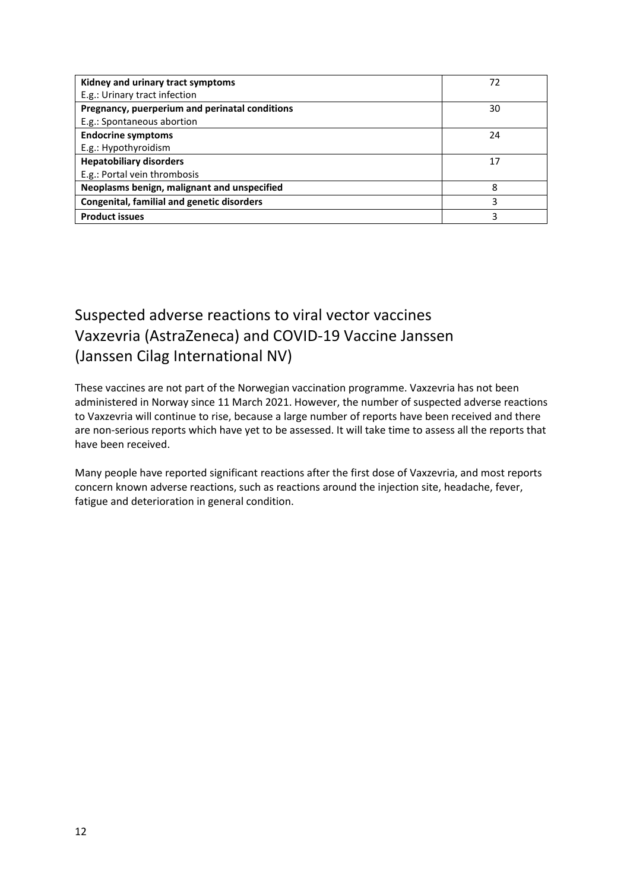| Kidney and urinary tract symptoms                 | 72 |
|---------------------------------------------------|----|
| E.g.: Urinary tract infection                     |    |
| Pregnancy, puerperium and perinatal conditions    | 30 |
| E.g.: Spontaneous abortion                        |    |
| <b>Endocrine symptoms</b>                         | 24 |
| E.g.: Hypothyroidism                              |    |
| <b>Hepatobiliary disorders</b>                    | 17 |
| E.g.: Portal vein thrombosis                      |    |
| Neoplasms benign, malignant and unspecified       | 8  |
| <b>Congenital, familial and genetic disorders</b> | 3  |
| <b>Product issues</b>                             | 3  |

### <span id="page-11-0"></span>Suspected adverse reactions to viral vector vaccines Vaxzevria (AstraZeneca) and COVID-19 Vaccine Janssen (Janssen Cilag International NV)

These vaccines are not part of the Norwegian vaccination programme. Vaxzevria has not been administered in Norway since 11 March 2021. However, the number of suspected adverse reactions to Vaxzevria will continue to rise, because a large number of reports have been received and there are non-serious reports which have yet to be assessed. It will take time to assess all the reports that have been received.

Many people have reported significant reactions after the first dose of Vaxzevria, and most reports concern known adverse reactions, such as reactions around the injection site, headache, fever, fatigue and deterioration in general condition.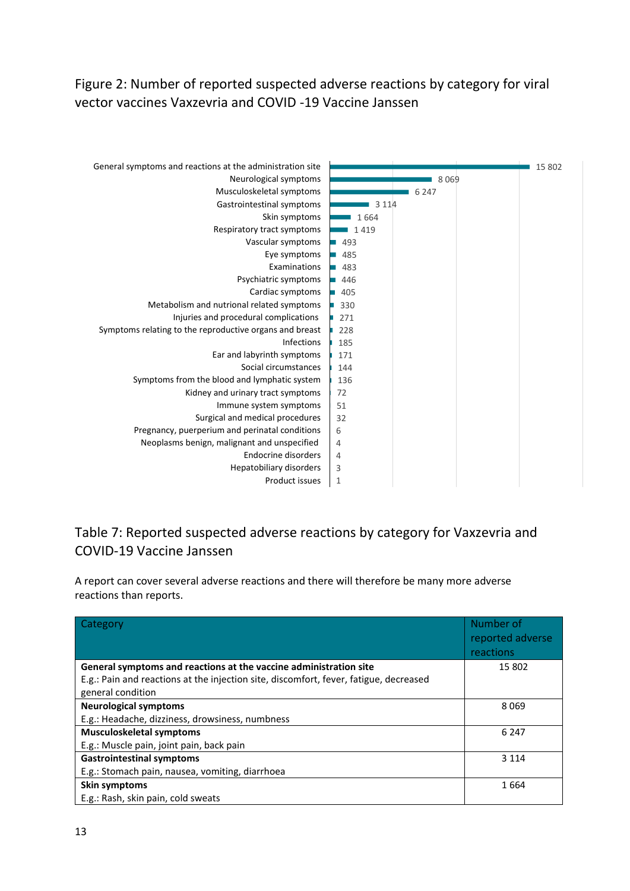Figure 2: Number of reported suspected adverse reactions by category for viral vector vaccines Vaxzevria and COVID -19 Vaccine Janssen



### Table 7: Reported suspected adverse reactions by category for Vaxzevria and COVID-19 Vaccine Janssen

A report can cover several adverse reactions and there will therefore be many more adverse reactions than reports.

| Category                                                                              | Number of<br>reported adverse<br>reactions |
|---------------------------------------------------------------------------------------|--------------------------------------------|
| General symptoms and reactions at the vaccine administration site                     | 15 802                                     |
| E.g.: Pain and reactions at the injection site, discomfort, fever, fatigue, decreased |                                            |
| general condition                                                                     |                                            |
| <b>Neurological symptoms</b>                                                          | 8069                                       |
| E.g.: Headache, dizziness, drowsiness, numbness                                       |                                            |
| <b>Musculoskeletal symptoms</b>                                                       | 6 2 4 7                                    |
| E.g.: Muscle pain, joint pain, back pain                                              |                                            |
| <b>Gastrointestinal symptoms</b>                                                      | 3 1 1 4                                    |
| E.g.: Stomach pain, nausea, vomiting, diarrhoea                                       |                                            |
| Skin symptoms                                                                         | 1664                                       |
| E.g.: Rash, skin pain, cold sweats                                                    |                                            |